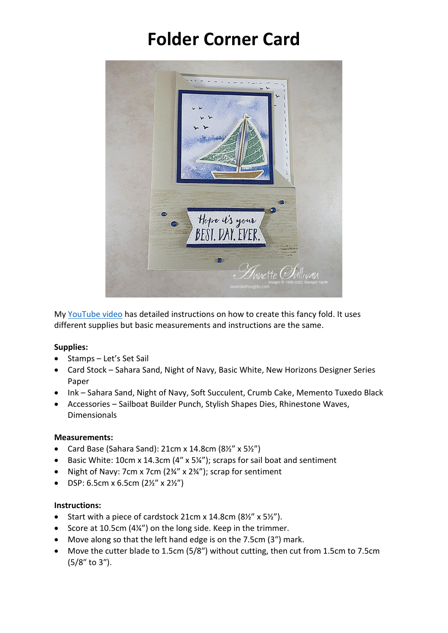# **Folder Corner Card**



My [YouTube video](https://youtu.be/5Q4MAv2meRU) has detailed instructions on how to create this fancy fold. It uses different supplies but basic measurements and instructions are the same.

### **Supplies:**

- Stamps Let's Set Sail
- Card Stock Sahara Sand, Night of Navy, Basic White, New Horizons Designer Series Paper
- Ink Sahara Sand, Night of Navy, Soft Succulent, Crumb Cake, Memento Tuxedo Black
- Accessories Sailboat Builder Punch, Stylish Shapes Dies, Rhinestone Waves, Dimensionals

#### **Measurements:**

- Card Base (Sahara Sand): 21cm x 14.8cm (8½" x 5½")
- Basic White: 10cm x 14.3cm (4″ x 5¼"); scraps for sail boat and sentiment
- Night of Navy: 7cm x 7cm (2¾" x 2¾"); scrap for sentiment
- DSP: 6.5cm x 6.5cm  $(2\frac{1}{2}\times 2\frac{1}{2})$

#### **Instructions:**

- Start with a piece of cardstock 21cm x 14.8cm (8½" x 5½").
- Score at 10.5cm (4¼") on the long side. Keep in the trimmer.
- Move along so that the left hand edge is on the 7.5cm (3″) mark.
- Move the cutter blade to 1.5cm (5/8″) without cutting, then cut from 1.5cm to 7.5cm (5/8″ to 3″).